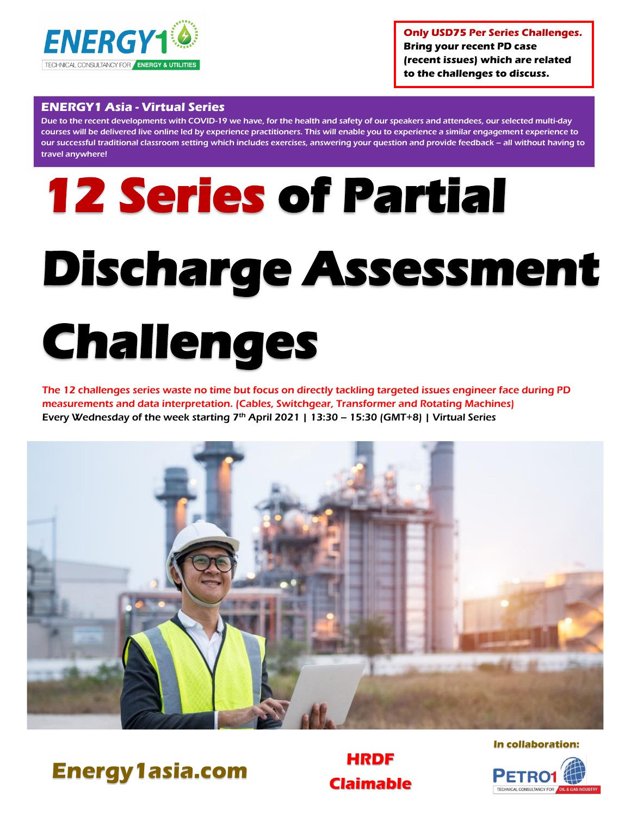

**Only USD75 Per Series Challenges. Bring your recent PD case (recent issues) which are related to the challenges to discuss.**

# **ENERGY1 Asia - Virtual Series**

Due to the recent developments with COVID-19 we have, for the health and safety of our speakers and attendees, our selected multi-day courses will be delivered live online led by experience practitioners. This will enable you to experience a similar engagement experience to our successful traditional classroom setting which includes exercises, answering your question and provide feedback – all without having to travel anywhere!

# **12 Series of Partial Discharge Assessment Challenges**

The 12 challenges series waste no time but focus on directly tackling targeted issues engineer face during PD measurements and data interpretation. (Cables, Switchgear, Transformer and Rotating Machines) Every Wednesday of the week starting  $7<sup>th</sup>$  April 2021 | 13:30 – 15:30 (GMT+8) | Virtual Series





**Claimable**

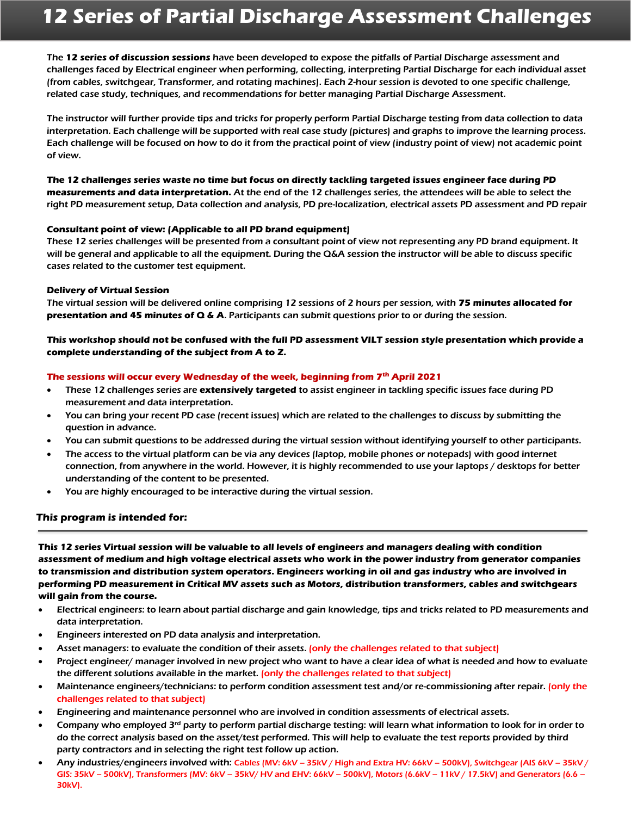The **12 series of discussion sessions** have been developed to expose the pitfalls of Partial Discharge assessment and challenges faced by Electrical engineer when performing, collecting, interpreting Partial Discharge for each individual asset (from cables, switchgear, Transformer, and rotating machines). Each 2-hour session is devoted to one specific challenge, related case study, techniques, and recommendations for better managing Partial Discharge Assessment.

The instructor will further provide tips and tricks for properly perform Partial Discharge testing from data collection to data interpretation. Each challenge will be supported with real case study (pictures) and graphs to improve the learning process. Each challenge will be focused on how to do it from the practical point of view (industry point of view) not academic point of view.

**The 12 challenges series waste no time but focus on directly tackling targeted issues engineer face during PD measurements and data interpretation.** At the end of the 12 challenges series, the attendees will be able to select the right PD measurement setup, Data collection and analysis, PD pre-localization, electrical assets PD assessment and PD repair

# **Consultant point of view: (Applicable to all PD brand equipment)**

These 12 series challenges will be presented from a consultant point of view not representing any PD brand equipment. It will be general and applicable to all the equipment. During the Q&A session the instructor will be able to discuss specific cases related to the customer test equipment.

# **Delivery of Virtual Session**

The virtual session will be delivered online comprising 12 sessions of 2 hours per session, with **75 minutes allocated for presentation and 45 minutes of Q & A**. Participants can submit questions prior to or during the session.

# **This workshop should not be confused with the full PD assessment VILT session style presentation which provide a complete understanding of the subject from A to Z.**

# **The sessions will occur every Wednesday of the week, beginning from 7 th April 2021**

- These 12 challenges series are **extensively targeted** to assist engineer in tackling specific issues face during PD measurement and data interpretation.
- You can bring your recent PD case (recent issues) which are related to the challenges to discuss by submitting the question in advance.
- You can submit questions to be addressed during the virtual session without identifying yourself to other participants.
- The access to the virtual platform can be via any devices (laptop, mobile phones or notepads) with good internet connection, from anywhere in the world. However, it is highly recommended to use your laptops / desktops for better understanding of the content to be presented.
- You are highly encouraged to be interactive during the virtual session.

# **This program is intended for:**

**This 12 series Virtual session will be valuable to all levels of engineers and managers dealing with condition assessment of medium and high voltage electrical assets who work in the power industry from generator companies to transmission and distribution system operators. Engineers working in oil and gas industry who are involved in performing PD measurement in Critical MV assets such as Motors, distribution transformers, cables and switchgears will gain from the course.**

- Electrical engineers: to learn about partial discharge and gain knowledge, tips and tricks related to PD measurements and data interpretation.
- Engineers interested on PD data analysis and interpretation.
- Asset managers: to evaluate the condition of their assets. (only the challenges related to that subject)
- Project engineer/ manager involved in new project who want to have a clear idea of what is needed and how to evaluate the different solutions available in the market. (only the challenges related to that subject)
- Maintenance engineers/technicians: to perform condition assessment test and/or re-commissioning after repair. (only the challenges related to that subject)
- Engineering and maintenance personnel who are involved in condition assessments of electrical assets.
- Company who employed 3<sup>rd</sup> party to perform partial discharge testing: will learn what information to look for in order to do the correct analysis based on the asset/test performed. This will help to evaluate the test reports provided by third party contractors and in selecting the right test follow up action.
- Any industries/engineers involved with: Cables (MV: 6kV 35kV / High and Extra HV: 66kV 500kV), Switchgear (AIS 6kV 35kV / GIS: 35kV – 500kV), Transformers (MV: 6kV – 35kV/ HV and EHV: 66kV – 500kV), Motors (6.6kV – 11kV / 17.5kV) and Generators (6.6 – 30kV).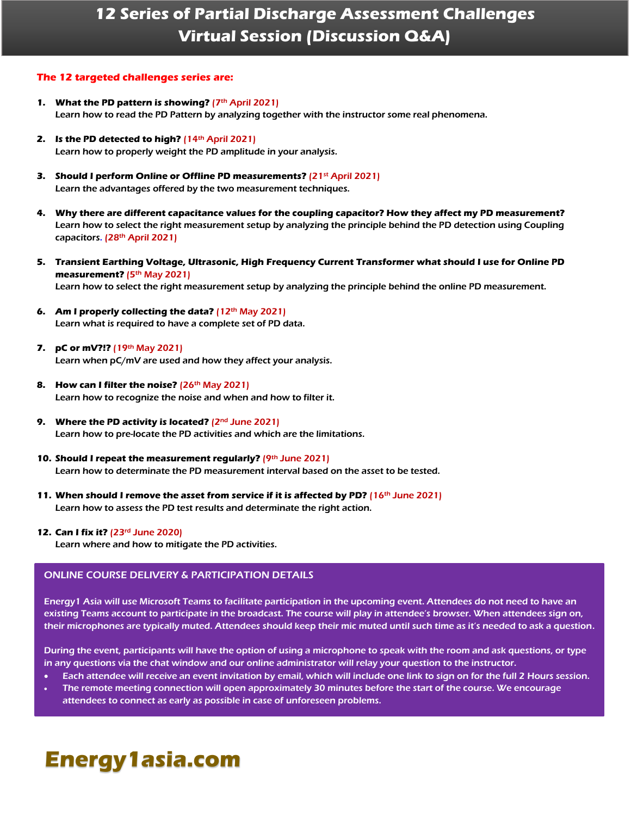# **12 Series of Partial Discharge Assessment Challenges Virtual Session (Discussion Q&A)**

# **The 12 targeted challenges series are:**

- **1.** What the PD pattern is showing? (7th April 2021) Learn how to read the PD Pattern by analyzing together with the instructor some real phenomena.
- **2. Is the PD detected to high?** (14th April 2021) Learn how to properly weight the PD amplitude in your analysis.
- **3. Should I perform Online or Offline PD measurements?** (21st April 2021) Learn the advantages offered by the two measurement techniques.
- **4. Why there are different capacitance values for the coupling capacitor? How they affect my PD measurement?** Learn how to select the right measurement setup by analyzing the principle behind the PD detection using Coupling capacitors. (28<sup>th</sup> April 2021)
- **5. Transient Earthing Voltage, Ultrasonic, High Frequency Current Transformer what should I use for Online PD**  measurement? (5<sup>th</sup> May 2021) Learn how to select the right measurement setup by analyzing the principle behind the online PD measurement.
- **6. Am I properly collecting the data?** (12th May 2021) Learn what is required to have a complete set of PD data.
- **7. pC or mV?!?** (19th May 2021) Learn when pC/mV are used and how they affect your analysis.
- **8. How can I filter the noise?** (26<sup>th</sup> May 2021) Learn how to recognize the noise and when and how to filter it.
- **9. Where the PD activity is located?** (2nd June 2021) Learn how to pre-locate the PD activities and which are the limitations.
- 10. Should I repeat the measurement regularly? (9th June 2021) Learn how to determinate the PD measurement interval based on the asset to be tested.
- **11. When should I remove the asset from service if it is affected by PD?** (16th June 2021) Learn how to assess the PD test results and determinate the right action.

### **12. Can I fix it?** (23rd June 2020)

Learn where and how to mitigate the PD activities.

# ONLINE COURSE DELIVERY & PARTICIPATION DETAILS

Energy1 Asia will use Microsoft Teams to facilitate participation in the upcoming event. Attendees do not need to have an existing Teams account to participate in the broadcast. The course will play in attendee's browser. When attendees sign on, their microphones are typically muted. Attendees should keep their mic muted until such time as it's needed to ask a question.

During the event, participants will have the option of using a microphone to speak with the room and ask questions, or type in any questions via the chat window and our online administrator will relay your question to the instructor.

- Each attendee will receive an event invitation by email, which will include one link to sign on for the full 2 Hours session.
- The remote meeting connection will open approximately 30 minutes before the start of the course. We encourage attendees to connect as early as possible in case of unforeseen problems.

# **Energy1asia.com**